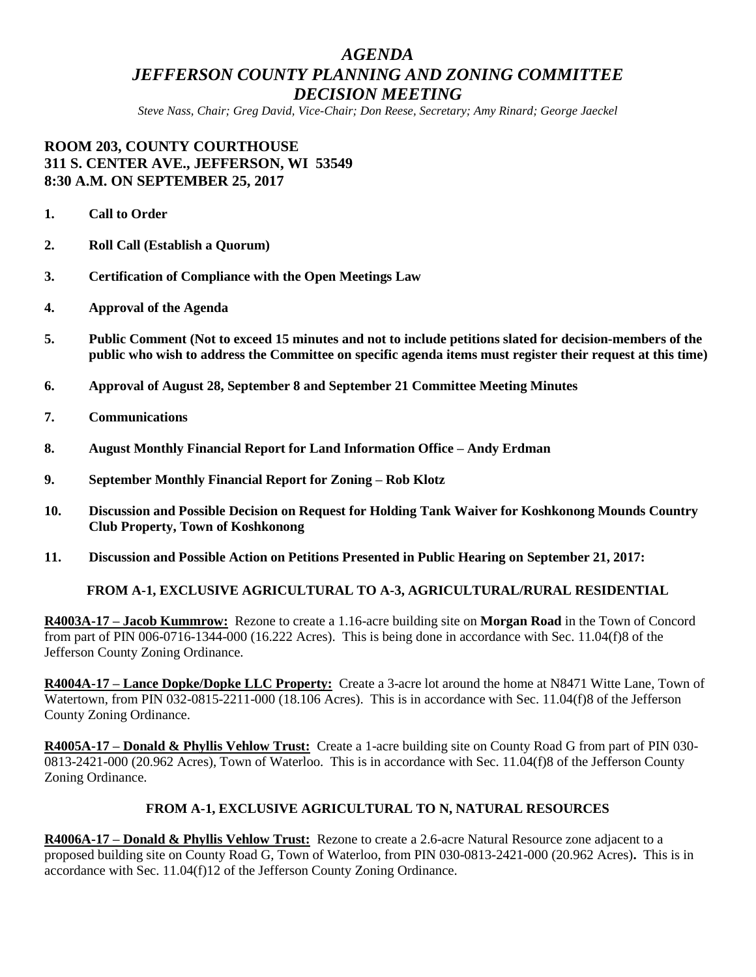# *AGENDA JEFFERSON COUNTY PLANNING AND ZONING COMMITTEE DECISION MEETING*

*Steve Nass, Chair; Greg David, Vice-Chair; Don Reese, Secretary; Amy Rinard; George Jaeckel*

## **ROOM 203, COUNTY COURTHOUSE 311 S. CENTER AVE., JEFFERSON, WI 53549 8:30 A.M. ON SEPTEMBER 25, 2017**

- **1. Call to Order**
- **2. Roll Call (Establish a Quorum)**
- **3. Certification of Compliance with the Open Meetings Law**
- **4. Approval of the Agenda**
- **5. Public Comment (Not to exceed 15 minutes and not to include petitions slated for decision-members of the public who wish to address the Committee on specific agenda items must register their request at this time)**
- **6. Approval of August 28, September 8 and September 21 Committee Meeting Minutes**
- **7. Communications**
- **8. August Monthly Financial Report for Land Information Office – Andy Erdman**
- **9. September Monthly Financial Report for Zoning – Rob Klotz**
- **10. Discussion and Possible Decision on Request for Holding Tank Waiver for Koshkonong Mounds Country Club Property, Town of Koshkonong**
- **11. Discussion and Possible Action on Petitions Presented in Public Hearing on September 21, 2017:**

#### **FROM A-1, EXCLUSIVE AGRICULTURAL TO A-3, AGRICULTURAL/RURAL RESIDENTIAL**

**R4003A-17 – Jacob Kummrow:** Rezone to create a 1.16-acre building site on **Morgan Road** in the Town of Concord from part of PIN 006-0716-1344-000 (16.222 Acres). This is being done in accordance with Sec. 11.04(f)8 of the Jefferson County Zoning Ordinance.

**R4004A-17 – Lance Dopke/Dopke LLC Property:** Create a 3-acre lot around the home at N8471 Witte Lane, Town of Watertown, from PIN 032-0815-2211-000 (18.106 Acres). This is in accordance with Sec. 11.04(f)8 of the Jefferson County Zoning Ordinance.

**R4005A-17 – Donald & Phyllis Vehlow Trust:** Create a 1-acre building site on County Road G from part of PIN 030- 0813-2421-000 (20.962 Acres), Town of Waterloo. This is in accordance with Sec. 11.04(f)8 of the Jefferson County Zoning Ordinance.

#### **FROM A-1, EXCLUSIVE AGRICULTURAL TO N, NATURAL RESOURCES**

**R4006A-17 – Donald & Phyllis Vehlow Trust:** Rezone to create a 2.6-acre Natural Resource zone adjacent to a proposed building site on County Road G, Town of Waterloo, from PIN 030-0813-2421-000 (20.962 Acres)**.** This is in accordance with Sec. 11.04(f)12 of the Jefferson County Zoning Ordinance.